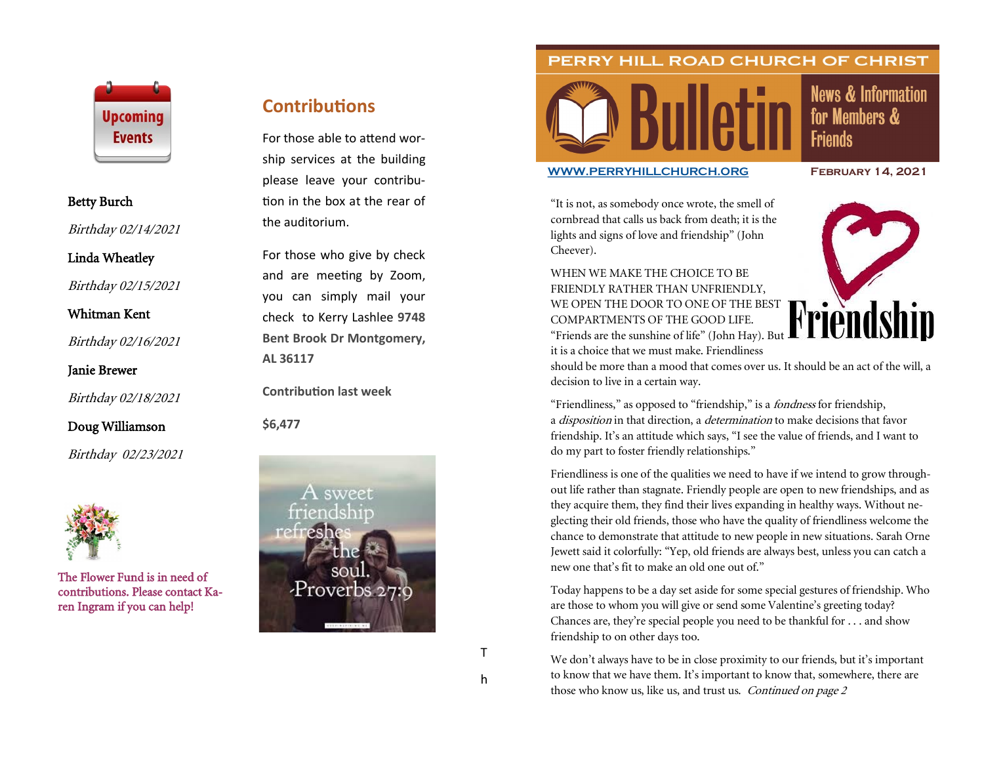

#### Betty Burch

Birthday 02/14/2021

## Linda Wheatley

Birthday 02/15/2021

## Whitman Kent

Birthday 02/16/2021

#### Janie Brewer

Birthday 02/18/2021

## Doug Williamson

Birthday 02/23/2021



The Flower Fund is in need of contributions. Please contact Karen Ingram if you can help!

# **Contributions**

For those able to attend worship services at the building please leave your contribution in the box at the rear of the auditorium.

For those who give by check and are meeting by Zoom, you can simply mail your check to Kerry Lashlee **9748 Bent Brook Dr Montgomery, AL 36117**

**Contribution last week**

**\$6,477**







#### **[WWW.PERRYHILLCHURCH.ORG](http://www.perryhillchurch.org) February 14, 2021**

for Members &

**Friends** 

"It is not, as somebody once wrote, the smell of cornbread that calls us back from death; it is the lights and signs of love and friendship" (John Cheever).

WHEN WE MAKE THE CHOICE TO BE FRIENDLY RATHER THAN UNFRIENDLY, WE OPEN THE DOOR TO ONE OF THE BEST COMPARTMENTS OF THE GOOD LIFE. WE OPEN THE DOOR TO ONE OF THE BEST<br>COMPARTMENTS OF THE GOOD LIFE. "Triends are the sunshine of life" (John Hay). But **FIPICIOSHIP** it is a choice that we must make. Friendliness



should be more than a mood that comes over us. It should be an act of the will, a decision to live in a certain way.

"Friendliness," as opposed to "friendship," is a *fondness* for friendship, a *disposition* in that direction, a *determination* to make decisions that favor friendship. It's an attitude which says, "I see the value of friends, and I want to do my part to foster friendly relationships."

Friendliness is one of the qualities we need to have if we intend to grow throughout life rather than stagnate. Friendly people are open to new friendships, and as they acquire them, they find their lives expanding in healthy ways. Without neglecting their old friends, those who have the quality of friendliness welcome the chance to demonstrate that attitude to new people in new situations. Sarah Orne Jewett said it colorfully: "Yep, old friends are always best, unless you can catch a new one that's fit to make an old one out of."

Today happens to be a day set aside for some special gestures of friendship. Who are those to whom you will give or send some Valentine's greeting today? Chances are, they're special people you need to be thankful for . . . and show friendship to on other days too.

We don't always have to be in close proximity to our friends, but it's important to know that we have them. It's important to know that, somewhere, there are those who know us, like us, and trust us. Continued on page 2

T

h